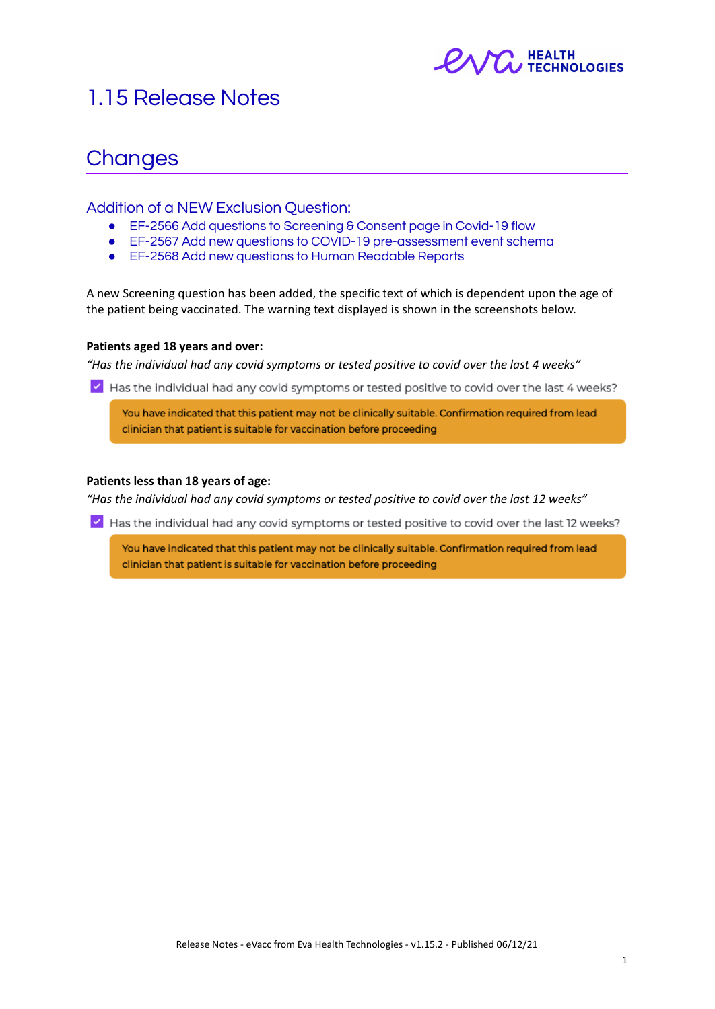

# 1.15 Release Notes

# **Changes**

### Addition of a NEW Exclusion Question:

- EF-2566 Add questions to Screening & Consent page in Covid-19 flow
- EF-2567 Add new questions to COVID-19 pre-assessment event schema
- EF-2568 Add new questions to Human Readable Reports

A new Screening question has been added, the specific text of which is dependent upon the age of the patient being vaccinated. The warning text displayed is shown in the screenshots below.

#### **Patients aged 18 years and over:**

*"Has the individual had any covid symptoms or tested positive to covid over the last 4 weeks"*

I Has the individual had any covid symptoms or tested positive to covid over the last 4 weeks?

You have indicated that this patient may not be clinically suitable. Confirmation required from lead clinician that patient is suitable for vaccination before proceeding

#### **Patients less than 18 years of age:**

*"Has the individual had any covid symptoms or tested positive to covid over the last 12 weeks"*

Y Has the individual had any covid symptoms or tested positive to covid over the last 12 weeks?

You have indicated that this patient may not be clinically suitable. Confirmation required from lead clinician that patient is suitable for vaccination before proceeding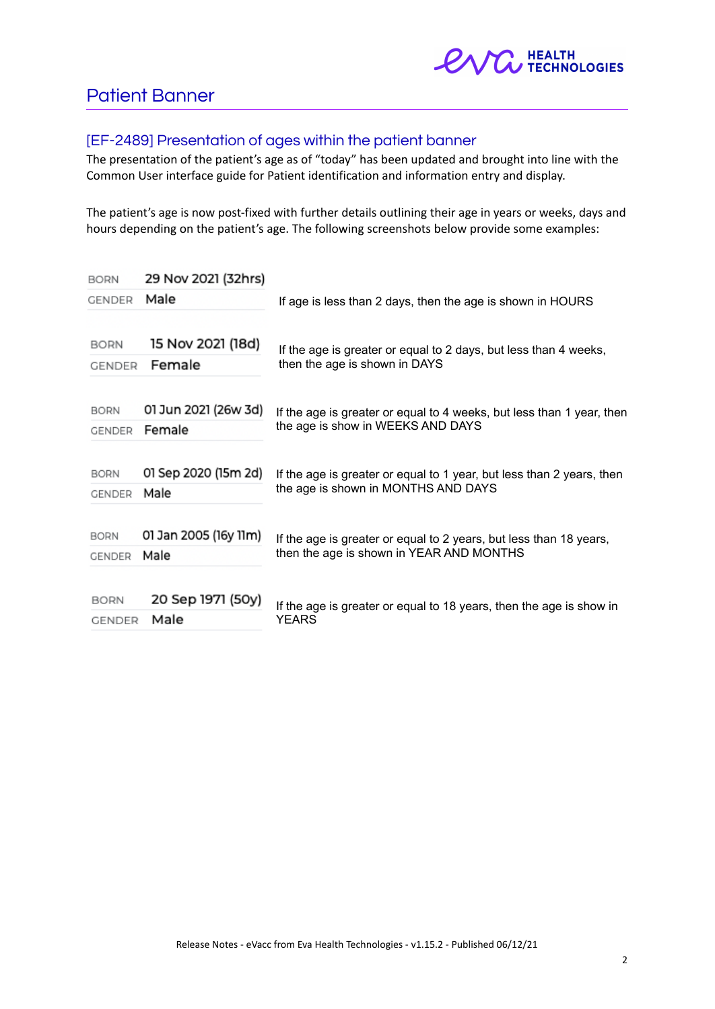

## Patient Banner

## [EF-2489] Presentation of ages within the patient banner

The presentation of the patient's age as of "today" has been updated and brought into line with the Common User interface guide for Patient identification and information entry and display.

The patient's age is now post-fixed with further details outlining their age in years or weeks, days and hours depending on the patient's age. The following screenshots below provide some examples:

| <b>BORN</b>   | 29 Nov 2021 (32hrs)   |                                                                                                                |  |
|---------------|-----------------------|----------------------------------------------------------------------------------------------------------------|--|
| GENDER        | Male                  | If age is less than 2 days, then the age is shown in HOURS                                                     |  |
|               |                       |                                                                                                                |  |
| BORN          | 15 Nov 2021 (18d)     | If the age is greater or equal to 2 days, but less than 4 weeks,<br>then the age is shown in DAYS              |  |
| GENDER        | Female                |                                                                                                                |  |
|               |                       |                                                                                                                |  |
| <b>BORN</b>   | 01 Jun 2021 (26w 3d)  | If the age is greater or equal to 4 weeks, but less than 1 year, then<br>the age is show in WEEKS AND DAYS     |  |
| GENDER        | Female                |                                                                                                                |  |
|               |                       |                                                                                                                |  |
| <b>BORN</b>   | 01 Sep 2020 (15m 2d)  | If the age is greater or equal to 1 year, but less than 2 years, then<br>the age is shown in MONTHS AND DAYS   |  |
| <b>GENDER</b> | Male                  |                                                                                                                |  |
|               |                       |                                                                                                                |  |
| <b>BORN</b>   | 01 Jan 2005 (16y 11m) | If the age is greater or equal to 2 years, but less than 18 years,<br>then the age is shown in YEAR AND MONTHS |  |
| <b>GENDER</b> | Male                  |                                                                                                                |  |
|               |                       |                                                                                                                |  |
| <b>BORN</b>   | 20 Sep 1971 (50y)     | If the age is greater or equal to 18 years, then the age is show in                                            |  |
| <b>GENDER</b> | Male                  | <b>YEARS</b>                                                                                                   |  |
|               |                       |                                                                                                                |  |